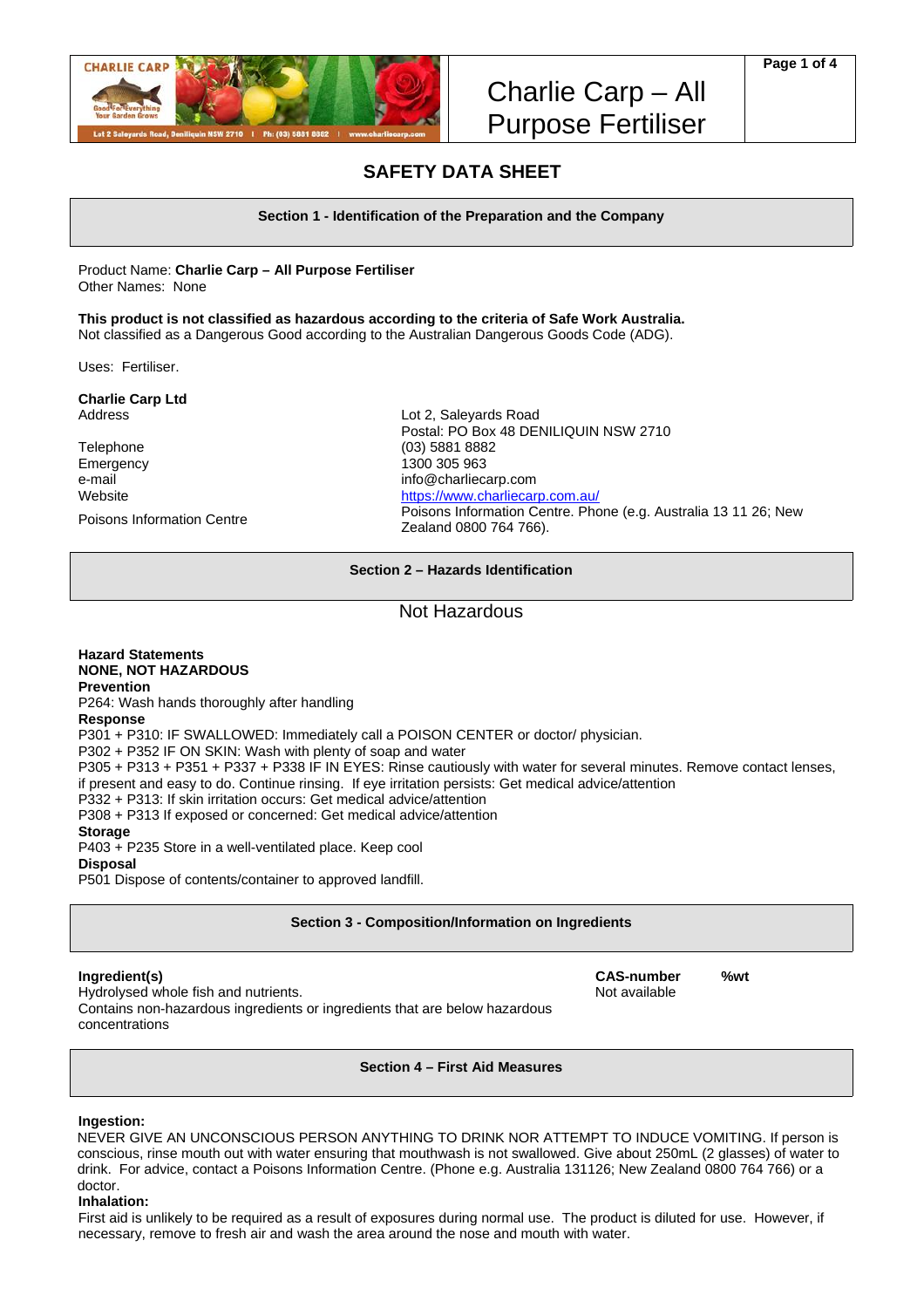

# **SAFETY DATA SHEET**

**Section 1 - Identification of the Preparation and the Company** 

Product Name: **Charlie Carp – All Purpose Fertiliser**  Other Names: None

**This product is not classified as hazardous according to the criteria of Safe Work Australia.** 

Not classified as a Dangerous Good according to the Australian Dangerous Goods Code (ADG).

Uses: Fertiliser.

**Charlie Carp Ltd** 

Telephone (03) 5881 8882 Emergency 1300 305 963

Address Lot 2, Saleyards Road Postal: PO Box 48 DENILIQUIN NSW 2710 e-mail info@charliecarp.com Website **https://www.charliecarp.com.au/** Poisons Information Centre Phone (e.g. Australia 13 11 26; New Zealand 0800 764 766).

**Section 2 – Hazards Identification** 

# Not Hazardous

# **Hazard Statements NONE, NOT HAZARDOUS Prevention**

P264: Wash hands thoroughly after handling

**Response** 

P301 + P310: IF SWALLOWED: Immediately call a POISON CENTER or doctor/ physician.

P302 + P352 IF ON SKIN: Wash with plenty of soap and water

P305 + P313 + P351 + P337 + P338 IF IN EYES: Rinse cautiously with water for several minutes. Remove contact lenses,

if present and easy to do. Continue rinsing. If eye irritation persists: Get medical advice/attention

P332 + P313: If skin irritation occurs: Get medical advice/attention

P308 + P313 If exposed or concerned: Get medical advice/attention

**Storage** 

P403 + P235 Store in a well-ventilated place. Keep cool

**Disposal** 

P501 Dispose of contents/container to approved landfill.

**Section 3 - Composition/Information on Ingredients** 

# **Ingredient(s) CAS-number %wt**

Hydrolysed whole fish and nutrients. Not available who has been also been available Contains non-hazardous ingredients or ingredients that are below hazardous concentrations

**Section 4 – First Aid Measures** 

# **Ingestion:**

NEVER GIVE AN UNCONSCIOUS PERSON ANYTHING TO DRINK NOR ATTEMPT TO INDUCE VOMITING. If person is conscious, rinse mouth out with water ensuring that mouthwash is not swallowed. Give about 250mL (2 glasses) of water to drink. For advice, contact a Poisons Information Centre. (Phone e.g. Australia 131126; New Zealand 0800 764 766) or a doctor.

# **Inhalation:**

First aid is unlikely to be required as a result of exposures during normal use. The product is diluted for use. However, if necessary, remove to fresh air and wash the area around the nose and mouth with water.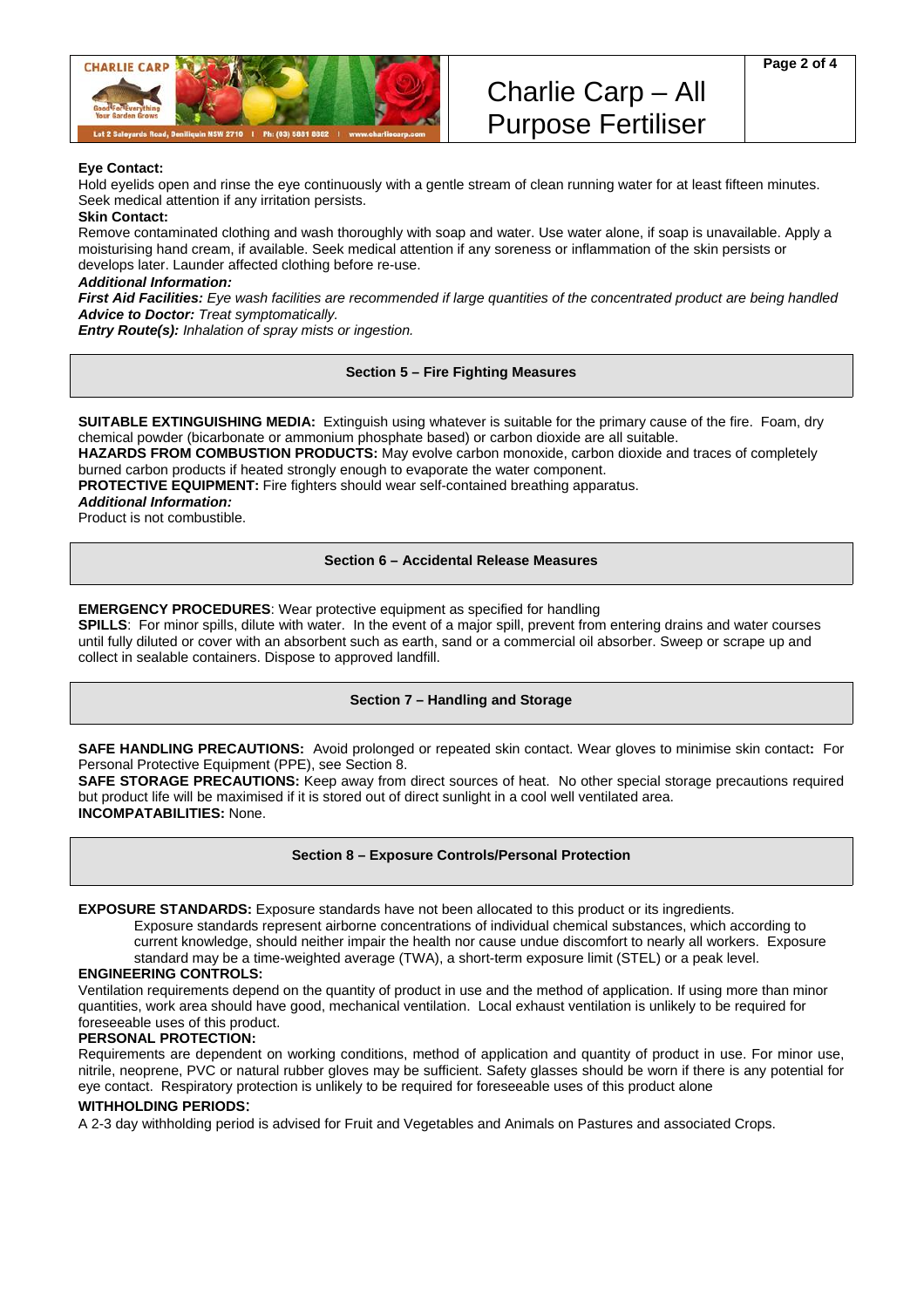

# **Eye Contact:**

Hold eyelids open and rinse the eye continuously with a gentle stream of clean running water for at least fifteen minutes. Seek medical attention if any irritation persists.

#### **Skin Contact:**

Remove contaminated clothing and wash thoroughly with soap and water. Use water alone, if soap is unavailable. Apply a moisturising hand cream, if available. Seek medical attention if any soreness or inflammation of the skin persists or develops later. Launder affected clothing before re-use.

#### *Additional Information:*

*First Aid Facilities: Eye wash facilities are recommended if large quantities of the concentrated product are being handled Advice to Doctor: Treat symptomatically.* 

*Entry Route(s): Inhalation of spray mists or ingestion.*

# **Section 5 – Fire Fighting Measures**

**SUITABLE EXTINGUISHING MEDIA:** Extinguish using whatever is suitable for the primary cause of the fire. Foam, dry chemical powder (bicarbonate or ammonium phosphate based) or carbon dioxide are all suitable.

**HAZARDS FROM COMBUSTION PRODUCTS:** May evolve carbon monoxide, carbon dioxide and traces of completely burned carbon products if heated strongly enough to evaporate the water component.

**PROTECTIVE EQUIPMENT:** Fire fighters should wear self-contained breathing apparatus.

#### *Additional Information:*

Product is not combustible.

# **Section 6 – Accidental Release Measures**

#### **EMERGENCY PROCEDURES**: Wear protective equipment as specified for handling

**SPILLS**: For minor spills, dilute with water. In the event of a major spill, prevent from entering drains and water courses until fully diluted or cover with an absorbent such as earth, sand or a commercial oil absorber. Sweep or scrape up and collect in sealable containers. Dispose to approved landfill.

# **Section 7 – Handling and Storage**

**SAFE HANDLING PRECAUTIONS:** Avoid prolonged or repeated skin contact. Wear gloves to minimise skin contact**:** For Personal Protective Equipment (PPE), see Section 8.

**SAFE STORAGE PRECAUTIONS:** Keep away from direct sources of heat. No other special storage precautions required but product life will be maximised if it is stored out of direct sunlight in a cool well ventilated area. **INCOMPATABILITIES:** None.

**Section 8 – Exposure Controls/Personal Protection** 

**EXPOSURE STANDARDS:** Exposure standards have not been allocated to this product or its ingredients.

Exposure standards represent airborne concentrations of individual chemical substances, which according to current knowledge, should neither impair the health nor cause undue discomfort to nearly all workers. Exposure standard may be a time-weighted average (TWA), a short-term exposure limit (STEL) or a peak level.

# **ENGINEERING CONTROLS:**

Ventilation requirements depend on the quantity of product in use and the method of application. If using more than minor quantities, work area should have good, mechanical ventilation. Local exhaust ventilation is unlikely to be required for foreseeable uses of this product.

#### **PERSONAL PROTECTION:**

Requirements are dependent on working conditions, method of application and quantity of product in use. For minor use, nitrile, neoprene, PVC or natural rubber gloves may be sufficient. Safety glasses should be worn if there is any potential for eye contact. Respiratory protection is unlikely to be required for foreseeable uses of this product alone

#### **WITHHOLDING PERIODS**:

A 2-3 day withholding period is advised for Fruit and Vegetables and Animals on Pastures and associated Crops.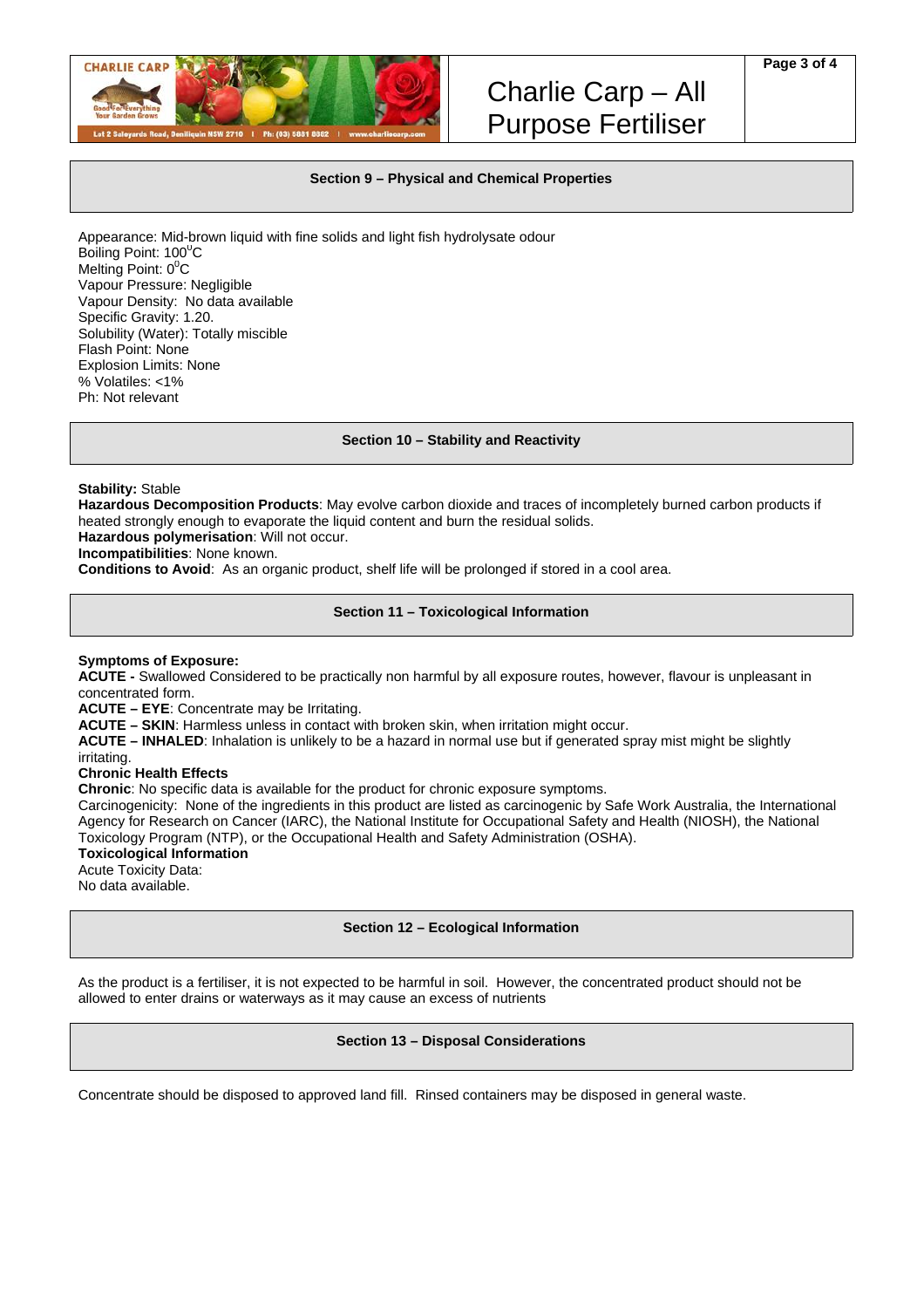

# **Section 9 – Physical and Chemical Properties**

Appearance: Mid-brown liquid with fine solids and light fish hydrolysate odour Boiling Point: 100<sup>0</sup>C Melting Point:  $0^0C$ Vapour Pressure: Negligible Vapour Density: No data available Specific Gravity: 1.20. Solubility (Water): Totally miscible Flash Point: None Explosion Limits: None % Volatiles: <1% Ph: Not relevant

#### **Section 10 – Stability and Reactivity**

**Stability:** Stable

**Hazardous Decomposition Products**: May evolve carbon dioxide and traces of incompletely burned carbon products if heated strongly enough to evaporate the liquid content and burn the residual solids.

**Hazardous polymerisation**: Will not occur.

**Incompatibilities**: None known.

**Conditions to Avoid**: As an organic product, shelf life will be prolonged if stored in a cool area.

# **Section 11 – Toxicological Information**

#### **Symptoms of Exposure:**

**ACUTE -** Swallowed Considered to be practically non harmful by all exposure routes, however, flavour is unpleasant in concentrated form.

**ACUTE – EYE**: Concentrate may be Irritating.

**ACUTE – SKIN**: Harmless unless in contact with broken skin, when irritation might occur.

**ACUTE – INHALED**: Inhalation is unlikely to be a hazard in normal use but if generated spray mist might be slightly irritating.

#### **Chronic Health Effects**

**Chronic**: No specific data is available for the product for chronic exposure symptoms.

Carcinogenicity: None of the ingredients in this product are listed as carcinogenic by Safe Work Australia, the International Agency for Research on Cancer (IARC), the National Institute for Occupational Safety and Health (NIOSH), the National Toxicology Program (NTP), or the Occupational Health and Safety Administration (OSHA).

# **Toxicological Information**

Acute Toxicity Data: No data available.

# **Section 12 – Ecological Information**

As the product is a fertiliser, it is not expected to be harmful in soil. However, the concentrated product should not be allowed to enter drains or waterways as it may cause an excess of nutrients

#### **Section 13 – Disposal Considerations**

Concentrate should be disposed to approved land fill. Rinsed containers may be disposed in general waste.